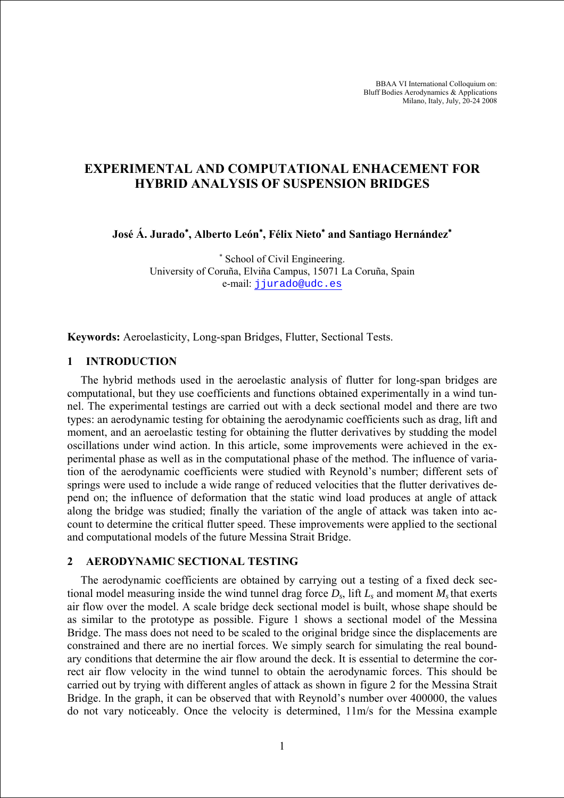BBAA VI International Colloquium on: Bluff Bodies Aerodynamics & Applications Milano, Italy, July, 20-24 2008

### **EXPERIMENTAL AND COMPUTATIONAL ENHACEMENT FOR HYBRID ANALYSIS OF SUSPENSION BRIDGES**

**José Á. Jurado**<sup>∗</sup> **, Alberto León**<sup>∗</sup> **, Félix Nieto**<sup>∗</sup>  **and Santiago Hernández**<sup>∗</sup> 

∗ School of Civil Engineering. University of Coruña, Elviña Campus, 15071 La Coruña, Spain e-mail: [jjurado@udc.es](mailto:jjurado@udc.es)

**Keywords:** Aeroelasticity, Long-span Bridges, Flutter, Sectional Tests.

#### **1 INTRODUCTION**

The hybrid methods used in the aeroelastic analysis of flutter for long-span bridges are computational, but they use coefficients and functions obtained experimentally in a wind tunnel. The experimental testings are carried out with a deck sectional model and there are two types: an aerodynamic testing for obtaining the aerodynamic coefficients such as drag, lift and moment, and an aeroelastic testing for obtaining the flutter derivatives by studding the model oscillations under wind action. In this article, some improvements were achieved in the experimental phase as well as in the computational phase of the method. The influence of variation of the aerodynamic coefficients were studied with Reynold's number; different sets of springs were used to include a wide range of reduced velocities that the flutter derivatives depend on; the influence of deformation that the static wind load produces at angle of attack along the bridge was studied; finally the variation of the angle of attack was taken into account to determine the critical flutter speed. These improvements were applied to the sectional and computational models of the future Messina Strait Bridge.

#### **2 AERODYNAMIC SECTIONAL TESTING**

The aerodynamic coefficients are obtained by carrying out a testing of a fixed deck sectional model measuring inside the wind tunnel drag force  $D_s$ , lift  $L_s$  and moment  $M_s$  that exerts air flow over the model. A scale bridge deck sectional model is built, whose shape should be as similar to the prototype as possible. Figure 1 shows a sectional model of the Messina Bridge. The mass does not need to be scaled to the original bridge since the displacements are constrained and there are no inertial forces. We simply search for simulating the real boundary conditions that determine the air flow around the deck. It is essential to determine the correct air flow velocity in the wind tunnel to obtain the aerodynamic forces. This should be carried out by trying with different angles of attack as shown in figure 2 for the Messina Strait Bridge. In the graph, it can be observed that with Reynold's number over 400000, the values do not vary noticeably. Once the velocity is determined, 11m/s for the Messina example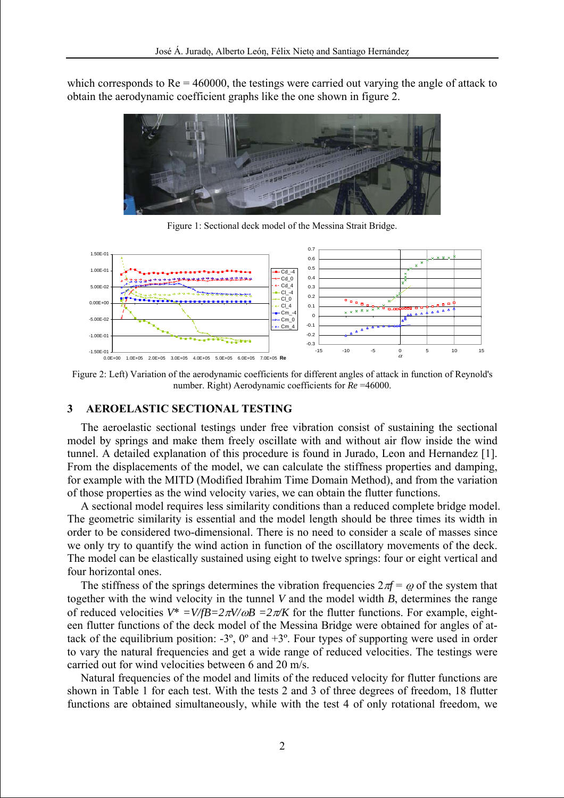which corresponds to  $Re = 460000$ , the testings were carried out varying the angle of attack to obtain the aerodynamic coefficient graphs like the one shown in figure 2.



Figure 1: Sectional deck model of the Messina Strait Bridge.



Figure 2: Left) Variation of the aerodynamic coefficients for different angles of attack in function of Reynold's number. Right) Aerodynamic coefficients for *Re* =46000.

#### **3 AEROELASTIC SECTIONAL TESTING**

The aeroelastic sectional testings under free vibration consist of sustaining the sectional model by springs and make them freely oscillate with and without air flow inside the wind tunnel. A detailed explanation of this procedure is found in Jurado, Leon and Hernandez [1]. From the displacements of the model, we can calculate the stiffness properties and damping, for example with the MITD (Modified Ibrahim Time Domain Method), and from the variation of those properties as the wind velocity varies, we can obtain the flutter functions.

A sectional model requires less similarity conditions than a reduced complete bridge model. The geometric similarity is essential and the model length should be three times its width in order to be considered two-dimensional. There is no need to consider a scale of masses since we only try to quantify the wind action in function of the oscillatory movements of the deck. The model can be elastically sustained using eight to twelve springs: four or eight vertical and four horizontal ones.

The stiffness of the springs determines the vibration frequencies  $2\pi f = \omega$  of the system that together with the wind velocity in the tunnel *V* and the model width *B*, determines the range of reduced velocities  $V^* = V/2B = 2\pi V/\omega B = 2\pi K$  for the flutter functions. For example, eighteen flutter functions of the deck model of the Messina Bridge were obtained for angles of attack of the equilibrium position:  $-3^\circ$ ,  $0^\circ$  and  $+3^\circ$ . Four types of supporting were used in order to vary the natural frequencies and get a wide range of reduced velocities. The testings were carried out for wind velocities between 6 and 20 m/s.

Natural frequencies of the model and limits of the reduced velocity for flutter functions are shown in Table 1 for each test. With the tests 2 and 3 of three degrees of freedom, 18 flutter functions are obtained simultaneously, while with the test 4 of only rotational freedom, we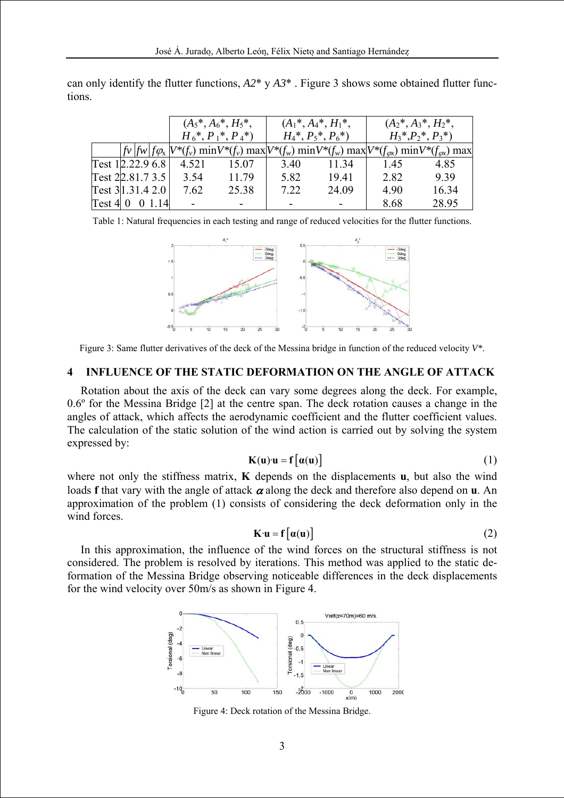|                         | $(A_5^*,A_6^*,H_5^*,$  |       | $(A_1^*,A_4^*,H_1^*,$ |       | $(A_2^*, A_3^*, H_2^*,$                                                                                                       |       |
|-------------------------|------------------------|-------|-----------------------|-------|-------------------------------------------------------------------------------------------------------------------------------|-------|
|                         | $H_6^*, P_1^*, P_4^*)$ |       | $H_4^*, P_5^*, P_6^*$ |       | $H_3^*, P_2^*, P_3^*$                                                                                                         |       |
|                         |                        |       |                       |       | $ f_V f_W f_{\phi_X} V^*(f_v)$ min $V^*(f_v)$ max $ V^*(f_w)$ min $V^*(f_w)$ max $ V^*(f_{\phi_X})$ min $V^*(f_{\phi_X})$ max |       |
| Test 12.22.9 6.8        | 4.521                  | 15.07 | 3.40                  | 11 34 | 1.45                                                                                                                          | 4.85  |
| Test 22.81.7 3.5        | 3.54                   | 11.79 | 5.82                  | 19.41 | 2.82                                                                                                                          | 9.39  |
| Test 3 1.31.4 2.0       | 7.62                   | 25.38 | 7.22                  | 24.09 | 4.90                                                                                                                          | 16.34 |
| $Test 4 \ 0 \ 0 \ 1.14$ |                        |       |                       |       | 8.68                                                                                                                          | 28.95 |

can only identify the flutter functions,  $A2^* \text{ y } A3^*$ . Figure 3 shows some obtained flutter functions.

Table 1: Natural frequencies in each testing and range of reduced velocities for the flutter functions.



Figure 3: Same flutter derivatives of the deck of the Messina bridge in function of the reduced velocity *V\**.

### **4 INFLUENCE OF THE STATIC DEFORMATION ON THE ANGLE OF ATTACK**

Rotation about the axis of the deck can vary some degrees along the deck. For example, 0.6º for the Messina Bridge [2] at the centre span. The deck rotation causes a change in the angles of attack, which affects the aerodynamic coefficient and the flutter coefficient values. The calculation of the static solution of the wind action is carried out by solving the system expressed by:

$$
K(u) \cdot u = f\big[\alpha(u)\big] \tag{1}
$$

where not only the stiffness matrix, **K** depends on the displacements **u**, but also the wind loads **f** that vary with the angle of attack  $\alpha$  along the deck and therefore also depend on **u**. An approximation of the problem (1) consists of considering the deck deformation only in the wind forces.

$$
\mathbf{K} \cdot \mathbf{u} = \mathbf{f} \left[ \alpha(\mathbf{u}) \right] \tag{2}
$$

In this approximation, the influence of the wind forces on the structural stiffness is not considered. The problem is resolved by iterations. This method was applied to the static deformation of the Messina Bridge observing noticeable differences in the deck displacements for the wind velocity over 50m/s as shown in Figure 4.



Figure 4: Deck rotation of the Messina Bridge.